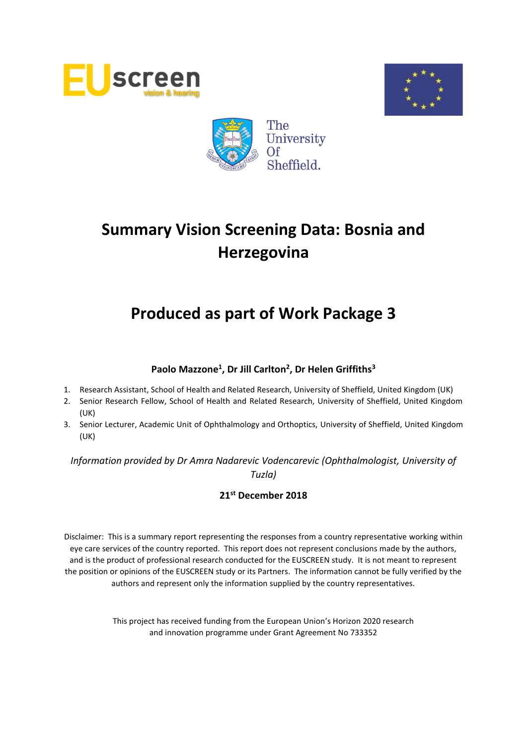





## **Produced as part of Work Package 3**

## **Paolo Mazzone<sup>1</sup> , Dr Jill Carlton<sup>2</sup> , Dr Helen Griffiths<sup>3</sup>**

- 1. Research Assistant, School of Health and Related Research, University of Sheffield, United Kingdom (UK)
- 2. Senior Research Fellow, School of Health and Related Research, University of Sheffield, United Kingdom (UK)
- 3. Senior Lecturer, Academic Unit of Ophthalmology and Orthoptics, University of Sheffield, United Kingdom (UK)

*Information provided by Dr Amra Nadarevic Vodencarevic (Ophthalmologist, University of Tuzla)*

## **21st December 2018**

Disclaimer: This is a summary report representing the responses from a country representative working within eye care services of the country reported. This report does not represent conclusions made by the authors, and is the product of professional research conducted for the EUSCREEN study. It is not meant to represent the position or opinions of the EUSCREEN study or its Partners. The information cannot be fully verified by the authors and represent only the information supplied by the country representatives.

> This project has received funding from the European Union's Horizon 2020 research and innovation programme under Grant Agreement No 733352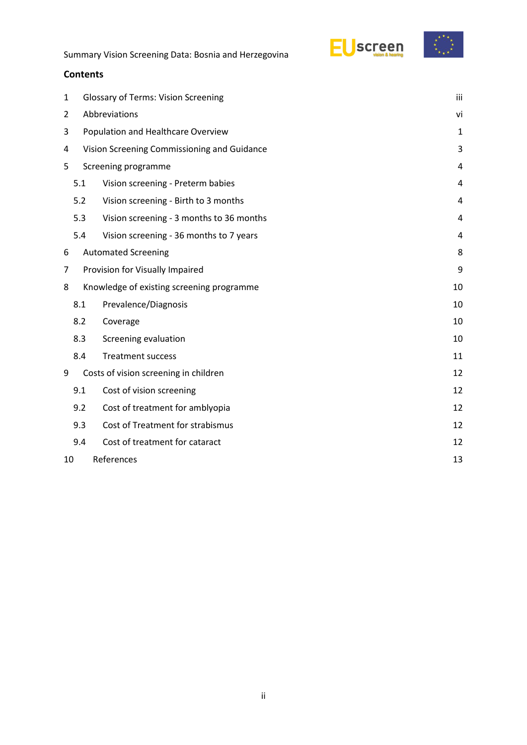

#### **Contents**

| 1 |                  | <b>Glossary of Terms: Vision Screening</b>  |    |  |  |  |  |
|---|------------------|---------------------------------------------|----|--|--|--|--|
| 2 |                  | Abbreviations                               |    |  |  |  |  |
| 3 |                  | Population and Healthcare Overview          |    |  |  |  |  |
| 4 |                  | Vision Screening Commissioning and Guidance |    |  |  |  |  |
| 5 |                  | Screening programme                         |    |  |  |  |  |
|   | 5.1              | Vision screening - Preterm babies           | 4  |  |  |  |  |
|   | 5.2              | Vision screening - Birth to 3 months        | 4  |  |  |  |  |
|   | 5.3              | Vision screening - 3 months to 36 months    | 4  |  |  |  |  |
|   | 5.4              | Vision screening - 36 months to 7 years     | 4  |  |  |  |  |
| 6 |                  | <b>Automated Screening</b>                  | 8  |  |  |  |  |
| 7 |                  | Provision for Visually Impaired             | 9  |  |  |  |  |
| 8 |                  | Knowledge of existing screening programme   | 10 |  |  |  |  |
|   | 8.1              | Prevalence/Diagnosis                        | 10 |  |  |  |  |
|   | 8.2              | Coverage                                    | 10 |  |  |  |  |
|   | 8.3              | Screening evaluation                        | 10 |  |  |  |  |
|   | 8.4              | <b>Treatment success</b>                    | 11 |  |  |  |  |
| 9 |                  | Costs of vision screening in children       | 12 |  |  |  |  |
|   | 9.1              | Cost of vision screening                    | 12 |  |  |  |  |
|   | 9.2              | Cost of treatment for amblyopia             | 12 |  |  |  |  |
|   | 9.3              | Cost of Treatment for strabismus            | 12 |  |  |  |  |
|   | 9.4              | Cost of treatment for cataract              | 12 |  |  |  |  |
|   | References<br>10 |                                             |    |  |  |  |  |
|   |                  |                                             |    |  |  |  |  |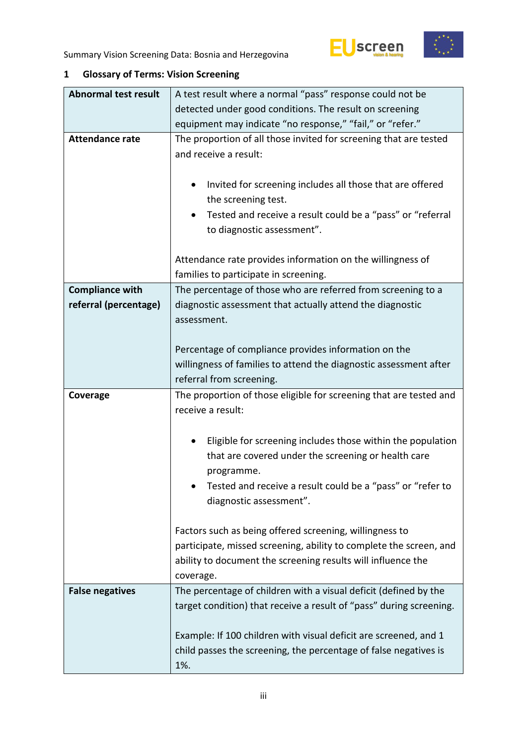





| <b>Abnormal test result</b> | A test result where a normal "pass" response could not be                                                                            |  |  |  |  |  |
|-----------------------------|--------------------------------------------------------------------------------------------------------------------------------------|--|--|--|--|--|
|                             | detected under good conditions. The result on screening                                                                              |  |  |  |  |  |
|                             | equipment may indicate "no response," "fail," or "refer."                                                                            |  |  |  |  |  |
| <b>Attendance rate</b>      | The proportion of all those invited for screening that are tested                                                                    |  |  |  |  |  |
|                             | and receive a result:                                                                                                                |  |  |  |  |  |
|                             |                                                                                                                                      |  |  |  |  |  |
|                             | Invited for screening includes all those that are offered<br>$\bullet$                                                               |  |  |  |  |  |
|                             | the screening test.                                                                                                                  |  |  |  |  |  |
|                             | Tested and receive a result could be a "pass" or "referral                                                                           |  |  |  |  |  |
|                             | to diagnostic assessment".                                                                                                           |  |  |  |  |  |
|                             |                                                                                                                                      |  |  |  |  |  |
|                             | Attendance rate provides information on the willingness of                                                                           |  |  |  |  |  |
|                             | families to participate in screening.                                                                                                |  |  |  |  |  |
| <b>Compliance with</b>      | The percentage of those who are referred from screening to a                                                                         |  |  |  |  |  |
| referral (percentage)       | diagnostic assessment that actually attend the diagnostic                                                                            |  |  |  |  |  |
|                             | assessment.                                                                                                                          |  |  |  |  |  |
|                             |                                                                                                                                      |  |  |  |  |  |
|                             | Percentage of compliance provides information on the                                                                                 |  |  |  |  |  |
|                             | willingness of families to attend the diagnostic assessment after                                                                    |  |  |  |  |  |
|                             | referral from screening.                                                                                                             |  |  |  |  |  |
|                             |                                                                                                                                      |  |  |  |  |  |
| Coverage                    | The proportion of those eligible for screening that are tested and                                                                   |  |  |  |  |  |
|                             | receive a result:                                                                                                                    |  |  |  |  |  |
|                             |                                                                                                                                      |  |  |  |  |  |
|                             | Eligible for screening includes those within the population                                                                          |  |  |  |  |  |
|                             | that are covered under the screening or health care                                                                                  |  |  |  |  |  |
|                             | programme.                                                                                                                           |  |  |  |  |  |
|                             | Tested and receive a result could be a "pass" or "refer to                                                                           |  |  |  |  |  |
|                             | diagnostic assessment".                                                                                                              |  |  |  |  |  |
|                             |                                                                                                                                      |  |  |  |  |  |
|                             | Factors such as being offered screening, willingness to                                                                              |  |  |  |  |  |
|                             | participate, missed screening, ability to complete the screen, and                                                                   |  |  |  |  |  |
|                             | ability to document the screening results will influence the                                                                         |  |  |  |  |  |
|                             | coverage.                                                                                                                            |  |  |  |  |  |
| <b>False negatives</b>      | The percentage of children with a visual deficit (defined by the                                                                     |  |  |  |  |  |
|                             | target condition) that receive a result of "pass" during screening.                                                                  |  |  |  |  |  |
|                             |                                                                                                                                      |  |  |  |  |  |
|                             | Example: If 100 children with visual deficit are screened, and 1<br>child passes the screening, the percentage of false negatives is |  |  |  |  |  |

## <span id="page-2-0"></span>**1 Glossary of Terms: Vision Screening**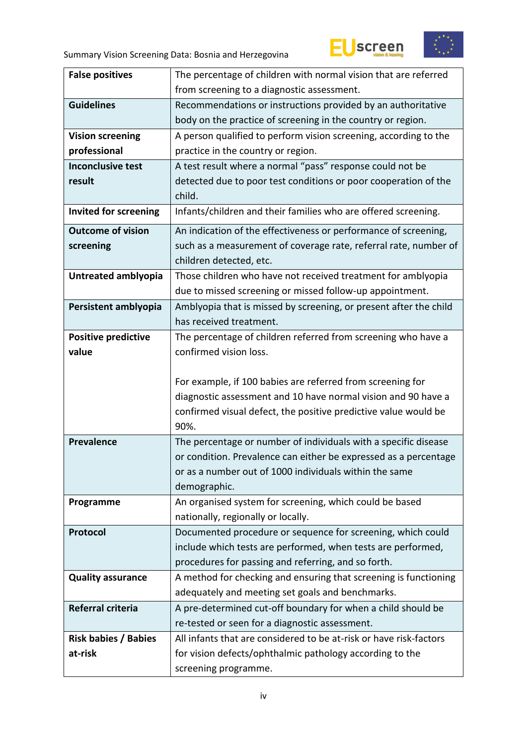



| <b>False positives</b>       | The percentage of children with normal vision that are referred                  |  |  |  |  |
|------------------------------|----------------------------------------------------------------------------------|--|--|--|--|
|                              | from screening to a diagnostic assessment.                                       |  |  |  |  |
| <b>Guidelines</b>            | Recommendations or instructions provided by an authoritative                     |  |  |  |  |
|                              | body on the practice of screening in the country or region.                      |  |  |  |  |
| <b>Vision screening</b>      | A person qualified to perform vision screening, according to the                 |  |  |  |  |
| professional                 | practice in the country or region.                                               |  |  |  |  |
| <b>Inconclusive test</b>     | A test result where a normal "pass" response could not be                        |  |  |  |  |
| result                       | detected due to poor test conditions or poor cooperation of the                  |  |  |  |  |
|                              | child.                                                                           |  |  |  |  |
| <b>Invited for screening</b> | Infants/children and their families who are offered screening.                   |  |  |  |  |
| <b>Outcome of vision</b>     | An indication of the effectiveness or performance of screening,                  |  |  |  |  |
| screening                    | such as a measurement of coverage rate, referral rate, number of                 |  |  |  |  |
|                              | children detected, etc.                                                          |  |  |  |  |
| Untreated amblyopia          | Those children who have not received treatment for amblyopia                     |  |  |  |  |
|                              | due to missed screening or missed follow-up appointment.                         |  |  |  |  |
| Persistent amblyopia         | Amblyopia that is missed by screening, or present after the child                |  |  |  |  |
|                              | has received treatment.                                                          |  |  |  |  |
| <b>Positive predictive</b>   | The percentage of children referred from screening who have a                    |  |  |  |  |
| value                        | confirmed vision loss.                                                           |  |  |  |  |
|                              |                                                                                  |  |  |  |  |
|                              |                                                                                  |  |  |  |  |
|                              | For example, if 100 babies are referred from screening for                       |  |  |  |  |
|                              | diagnostic assessment and 10 have normal vision and 90 have a                    |  |  |  |  |
|                              | confirmed visual defect, the positive predictive value would be                  |  |  |  |  |
|                              | 90%.                                                                             |  |  |  |  |
| <b>Prevalence</b>            | The percentage or number of individuals with a specific disease                  |  |  |  |  |
|                              | or condition. Prevalence can either be expressed as a percentage                 |  |  |  |  |
|                              | or as a number out of 1000 individuals within the same                           |  |  |  |  |
|                              | demographic.                                                                     |  |  |  |  |
| Programme                    | An organised system for screening, which could be based                          |  |  |  |  |
|                              | nationally, regionally or locally.                                               |  |  |  |  |
| Protocol                     | Documented procedure or sequence for screening, which could                      |  |  |  |  |
|                              | include which tests are performed, when tests are performed,                     |  |  |  |  |
|                              | procedures for passing and referring, and so forth.                              |  |  |  |  |
| <b>Quality assurance</b>     | A method for checking and ensuring that screening is functioning                 |  |  |  |  |
|                              | adequately and meeting set goals and benchmarks.                                 |  |  |  |  |
| Referral criteria            | A pre-determined cut-off boundary for when a child should be                     |  |  |  |  |
|                              | re-tested or seen for a diagnostic assessment.                                   |  |  |  |  |
| <b>Risk babies / Babies</b>  | All infants that are considered to be at-risk or have risk-factors               |  |  |  |  |
| at-risk                      | for vision defects/ophthalmic pathology according to the<br>screening programme. |  |  |  |  |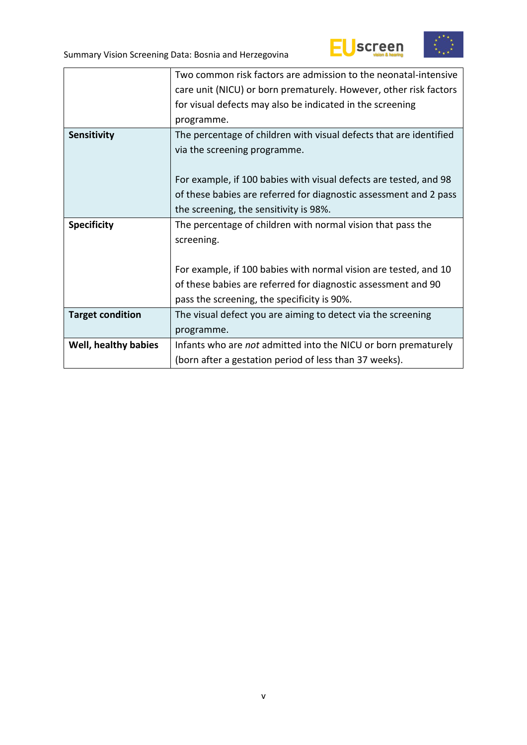



|                         | Two common risk factors are admission to the neonatal-intensive    |  |  |  |  |
|-------------------------|--------------------------------------------------------------------|--|--|--|--|
|                         | care unit (NICU) or born prematurely. However, other risk factors  |  |  |  |  |
|                         | for visual defects may also be indicated in the screening          |  |  |  |  |
|                         | programme.                                                         |  |  |  |  |
| Sensitivity             | The percentage of children with visual defects that are identified |  |  |  |  |
|                         | via the screening programme.                                       |  |  |  |  |
|                         |                                                                    |  |  |  |  |
|                         | For example, if 100 babies with visual defects are tested, and 98  |  |  |  |  |
|                         | of these babies are referred for diagnostic assessment and 2 pass  |  |  |  |  |
|                         | the screening, the sensitivity is 98%.                             |  |  |  |  |
| <b>Specificity</b>      | The percentage of children with normal vision that pass the        |  |  |  |  |
|                         | screening.                                                         |  |  |  |  |
|                         |                                                                    |  |  |  |  |
|                         |                                                                    |  |  |  |  |
|                         | For example, if 100 babies with normal vision are tested, and 10   |  |  |  |  |
|                         | of these babies are referred for diagnostic assessment and 90      |  |  |  |  |
|                         | pass the screening, the specificity is 90%.                        |  |  |  |  |
| <b>Target condition</b> | The visual defect you are aiming to detect via the screening       |  |  |  |  |
|                         | programme.                                                         |  |  |  |  |
| Well, healthy babies    | Infants who are not admitted into the NICU or born prematurely     |  |  |  |  |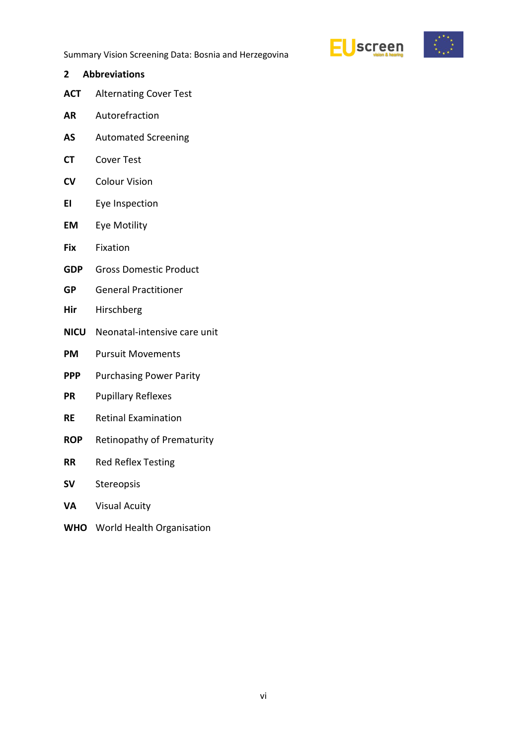

- <span id="page-5-0"></span>**2 Abbreviations**
- **ACT** Alternating Cover Test
- **AR** Autorefraction
- **AS** Automated Screening
- **CT** Cover Test
- **CV** Colour Vision
- **EI** Eye Inspection
- **EM** Eye Motility
- **Fix** Fixation
- **GDP** Gross Domestic Product
- **GP** General Practitioner
- **Hir** Hirschberg
- **NICU** Neonatal-intensive care unit
- **PM** Pursuit Movements
- **PPP** Purchasing Power Parity
- **PR** Pupillary Reflexes
- **RE** Retinal Examination
- **ROP** Retinopathy of Prematurity
- **RR** Red Reflex Testing
- **SV** Stereopsis
- **VA** Visual Acuity
- **WHO** World Health Organisation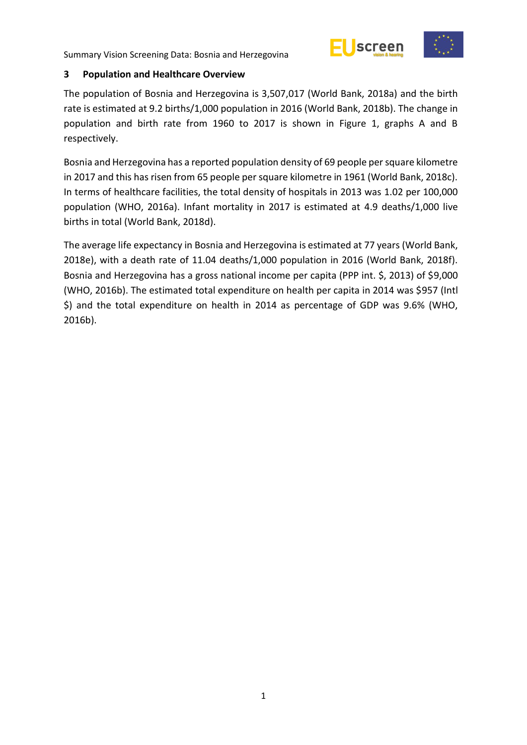



#### <span id="page-6-0"></span>**3 Population and Healthcare Overview**

The population of Bosnia and Herzegovina is 3,507,017 (World Bank, 2018a) and the birth rate is estimated at 9.2 births/1,000 population in 2016 (World Bank, 2018b). The change in population and birth rate from 1960 to 2017 is shown in Figure 1, graphs A and B respectively.

Bosnia and Herzegovina has a reported population density of 69 people per square kilometre in 2017 and this has risen from 65 people per square kilometre in 1961 (World Bank, 2018c). In terms of healthcare facilities, the total density of hospitals in 2013 was 1.02 per 100,000 population (WHO, 2016a). Infant mortality in 2017 is estimated at 4.9 deaths/1,000 live births in total (World Bank, 2018d).

The average life expectancy in Bosnia and Herzegovina is estimated at 77 years (World Bank, 2018e), with a death rate of 11.04 deaths/1,000 population in 2016 (World Bank, 2018f). Bosnia and Herzegovina has a gross national income per capita (PPP int. \$, 2013) of \$9,000 (WHO, 2016b). The estimated total expenditure on health per capita in 2014 was \$957 (Intl \$) and the total expenditure on health in 2014 as percentage of GDP was 9.6% (WHO, 2016b).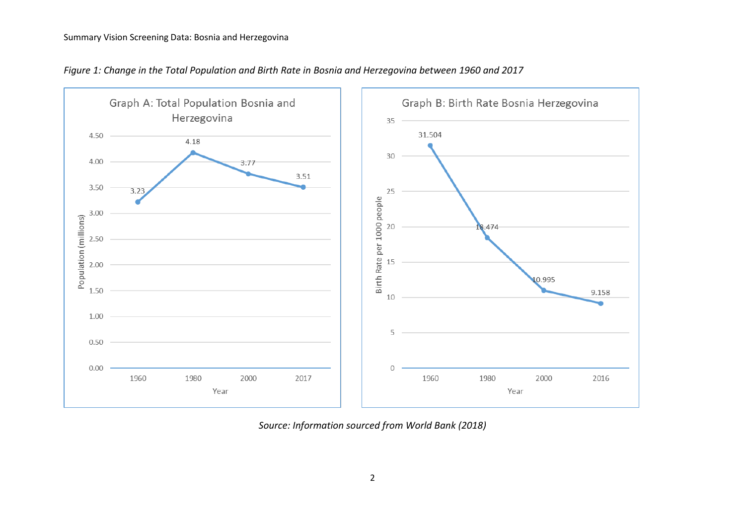

*Figure 1: Change in the Total Population and Birth Rate in Bosnia and Herzegovina between 1960 and 2017*

*Source: Information sourced from World Bank (2018)*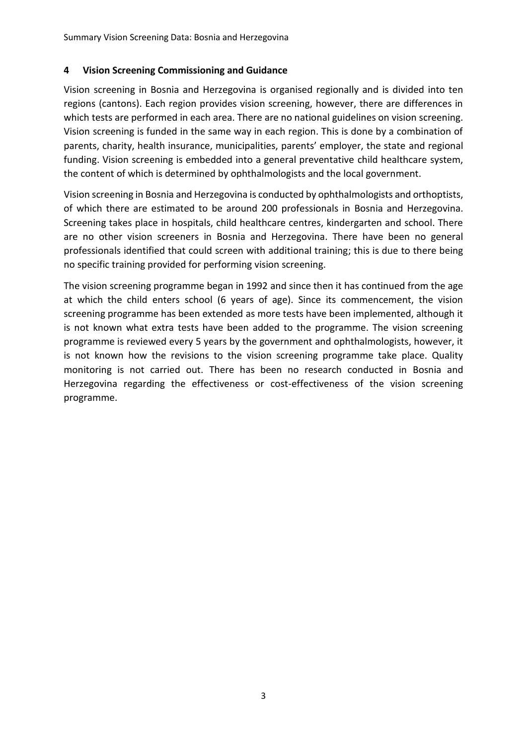#### <span id="page-8-0"></span>**4 Vision Screening Commissioning and Guidance**

Vision screening in Bosnia and Herzegovina is organised regionally and is divided into ten regions (cantons). Each region provides vision screening, however, there are differences in which tests are performed in each area. There are no national guidelines on vision screening. Vision screening is funded in the same way in each region. This is done by a combination of parents, charity, health insurance, municipalities, parents' employer, the state and regional funding. Vision screening is embedded into a general preventative child healthcare system, the content of which is determined by ophthalmologists and the local government.

Vision screening in Bosnia and Herzegovina is conducted by ophthalmologists and orthoptists, of which there are estimated to be around 200 professionals in Bosnia and Herzegovina. Screening takes place in hospitals, child healthcare centres, kindergarten and school. There are no other vision screeners in Bosnia and Herzegovina. There have been no general professionals identified that could screen with additional training; this is due to there being no specific training provided for performing vision screening.

The vision screening programme began in 1992 and since then it has continued from the age at which the child enters school (6 years of age). Since its commencement, the vision screening programme has been extended as more tests have been implemented, although it is not known what extra tests have been added to the programme. The vision screening programme is reviewed every 5 years by the government and ophthalmologists, however, it is not known how the revisions to the vision screening programme take place. Quality monitoring is not carried out. There has been no research conducted in Bosnia and Herzegovina regarding the effectiveness or cost-effectiveness of the vision screening programme.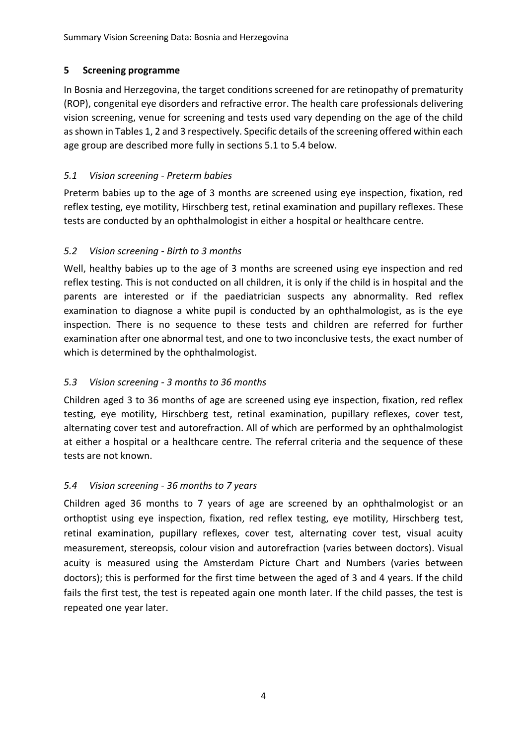## <span id="page-9-0"></span>**5 Screening programme**

In Bosnia and Herzegovina, the target conditions screened for are retinopathy of prematurity (ROP), congenital eye disorders and refractive error. The health care professionals delivering vision screening, venue for screening and tests used vary depending on the age of the child as shown in Tables 1, 2 and 3 respectively. Specific details of the screening offered within each age group are described more fully in sections 5.1 to 5.4 below.

## <span id="page-9-1"></span>*5.1 Vision screening - Preterm babies*

Preterm babies up to the age of 3 months are screened using eye inspection, fixation, red reflex testing, eye motility, Hirschberg test, retinal examination and pupillary reflexes. These tests are conducted by an ophthalmologist in either a hospital or healthcare centre.

## <span id="page-9-2"></span>*5.2 Vision screening - Birth to 3 months*

Well, healthy babies up to the age of 3 months are screened using eye inspection and red reflex testing. This is not conducted on all children, it is only if the child is in hospital and the parents are interested or if the paediatrician suspects any abnormality. Red reflex examination to diagnose a white pupil is conducted by an ophthalmologist, as is the eye inspection. There is no sequence to these tests and children are referred for further examination after one abnormal test, and one to two inconclusive tests, the exact number of which is determined by the ophthalmologist.

## <span id="page-9-3"></span>*5.3 Vision screening - 3 months to 36 months*

Children aged 3 to 36 months of age are screened using eye inspection, fixation, red reflex testing, eye motility, Hirschberg test, retinal examination, pupillary reflexes, cover test, alternating cover test and autorefraction. All of which are performed by an ophthalmologist at either a hospital or a healthcare centre. The referral criteria and the sequence of these tests are not known.

## <span id="page-9-4"></span>*5.4 Vision screening - 36 months to 7 years*

Children aged 36 months to 7 years of age are screened by an ophthalmologist or an orthoptist using eye inspection, fixation, red reflex testing, eye motility, Hirschberg test, retinal examination, pupillary reflexes, cover test, alternating cover test, visual acuity measurement, stereopsis, colour vision and autorefraction (varies between doctors). Visual acuity is measured using the Amsterdam Picture Chart and Numbers (varies between doctors); this is performed for the first time between the aged of 3 and 4 years. If the child fails the first test, the test is repeated again one month later. If the child passes, the test is repeated one year later.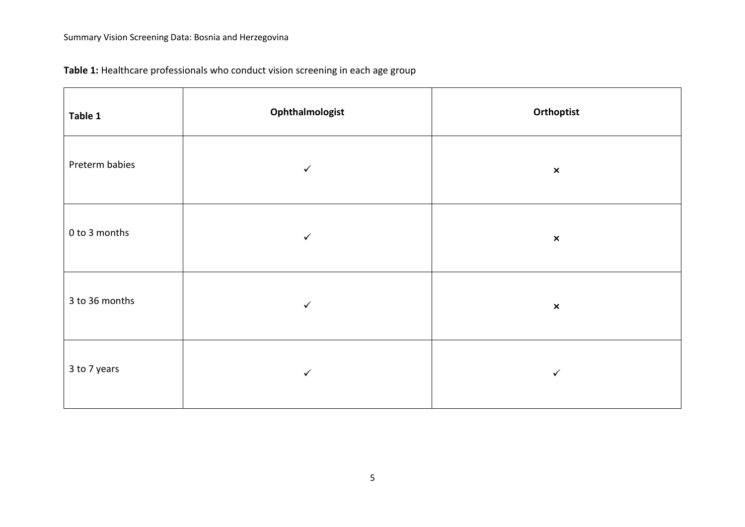| Table 1        | Ophthalmologist | Orthoptist     |
|----------------|-----------------|----------------|
| Preterm babies | $\checkmark$    | $\pmb{\times}$ |
| 0 to 3 months  | $\checkmark$    | $\pmb{\times}$ |
| 3 to 36 months | $\checkmark$    | $\pmb{\times}$ |
| 3 to 7 years   | $\checkmark$    | $\checkmark$   |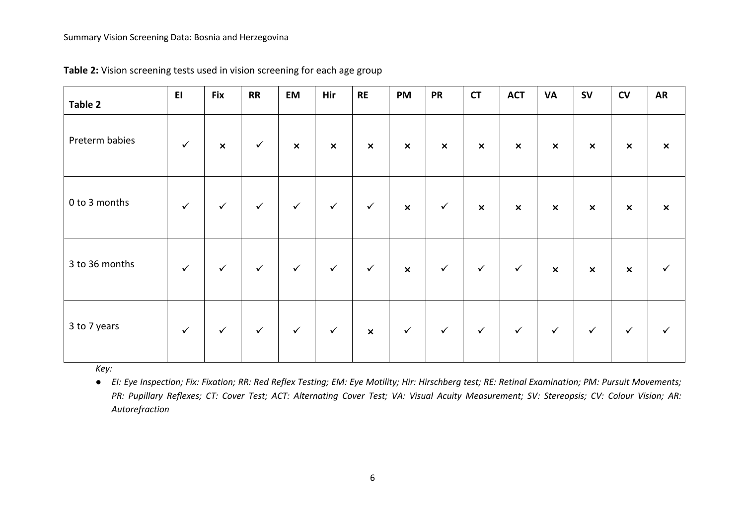| Table 2        | E1           | <b>Fix</b>                | <b>RR</b>    | <b>EM</b>                 | Hir                       | <b>RE</b>                 | <b>PM</b>                 | <b>PR</b>      | <b>CT</b>                 | <b>ACT</b>                | <b>VA</b>                 | <b>SV</b>      | CV             | <b>AR</b>                 |
|----------------|--------------|---------------------------|--------------|---------------------------|---------------------------|---------------------------|---------------------------|----------------|---------------------------|---------------------------|---------------------------|----------------|----------------|---------------------------|
| Preterm babies | $\checkmark$ | $\boldsymbol{\mathsf{x}}$ | $\checkmark$ | $\boldsymbol{\mathsf{x}}$ | $\boldsymbol{\mathsf{x}}$ | $\boldsymbol{\mathsf{x}}$ | $\pmb{\times}$            | $\pmb{\times}$ | $\pmb{\times}$            | $\boldsymbol{\mathsf{x}}$ | $\boldsymbol{\mathsf{x}}$ | $\pmb{\times}$ | $\pmb{\times}$ | $\boldsymbol{\mathsf{x}}$ |
| 0 to 3 months  | $\checkmark$ | $\checkmark$              | $\checkmark$ | $\checkmark$              | $\checkmark$              | $\checkmark$              | $\boldsymbol{\mathsf{x}}$ | $\checkmark$   | $\boldsymbol{\mathsf{x}}$ | $\boldsymbol{\mathsf{x}}$ | $\boldsymbol{\mathsf{x}}$ | $\pmb{\times}$ | $\pmb{\times}$ | $\boldsymbol{\mathsf{x}}$ |
| 3 to 36 months | $\checkmark$ | $\checkmark$              | $\checkmark$ | $\checkmark$              | $\checkmark$              | $\checkmark$              | $\boldsymbol{\mathsf{x}}$ | $\checkmark$   | $\checkmark$              | $\checkmark$              | $\pmb{\times}$            | $\pmb{\times}$ | $\pmb{\times}$ | $\checkmark$              |
| 3 to 7 years   | $\checkmark$ | $\checkmark$              | $\checkmark$ | $\checkmark$              | $\checkmark$              | $\boldsymbol{\mathsf{x}}$ | $\checkmark$              | $\checkmark$   | $\checkmark$              | $\checkmark$              | $\checkmark$              | $\checkmark$   | $\checkmark$   | $\checkmark$              |

**Table 2:** Vision screening tests used in vision screening for each age group

*Key:* 

● *EI: Eye Inspection; Fix: Fixation; RR: Red Reflex Testing; EM: Eye Motility; Hir: Hirschberg test; RE: Retinal Examination; PM: Pursuit Movements; PR: Pupillary Reflexes; CT: Cover Test; ACT: Alternating Cover Test; VA: Visual Acuity Measurement; SV: Stereopsis; CV: Colour Vision; AR: Autorefraction*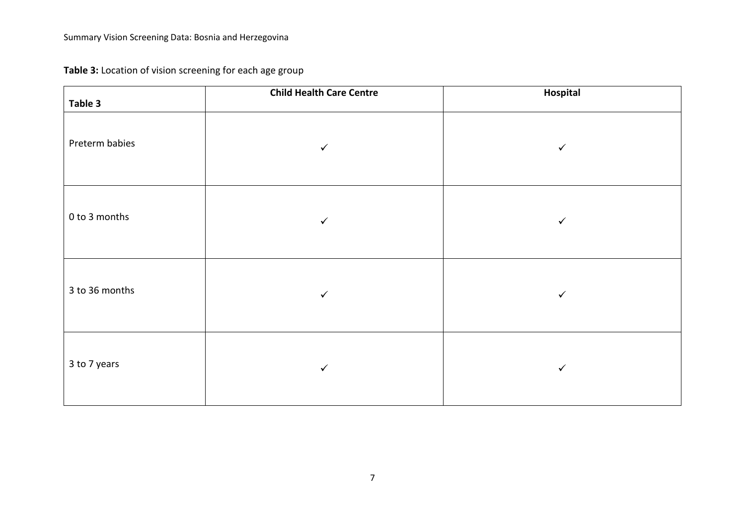**Table 3:** Location of vision screening for each age group

| Table 3        | <b>Child Health Care Centre</b> | Hospital     |
|----------------|---------------------------------|--------------|
| Preterm babies | $\checkmark$                    | $\checkmark$ |
| 0 to 3 months  | $\checkmark$                    | $\checkmark$ |
| 3 to 36 months | $\checkmark$                    | $\checkmark$ |
| 3 to 7 years   | $\checkmark$                    | $\checkmark$ |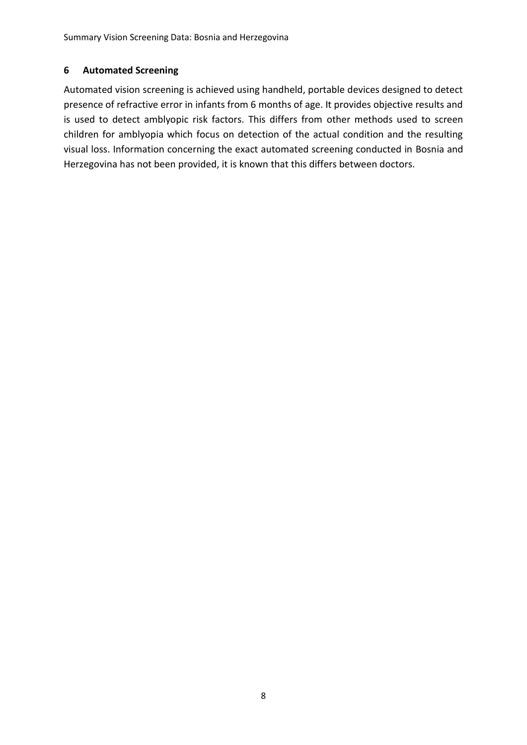#### <span id="page-13-0"></span>**6 Automated Screening**

Automated vision screening is achieved using handheld, portable devices designed to detect presence of refractive error in infants from 6 months of age. It provides objective results and is used to detect amblyopic risk factors. This differs from other methods used to screen children for amblyopia which focus on detection of the actual condition and the resulting visual loss. Information concerning the exact automated screening conducted in Bosnia and Herzegovina has not been provided, it is known that this differs between doctors.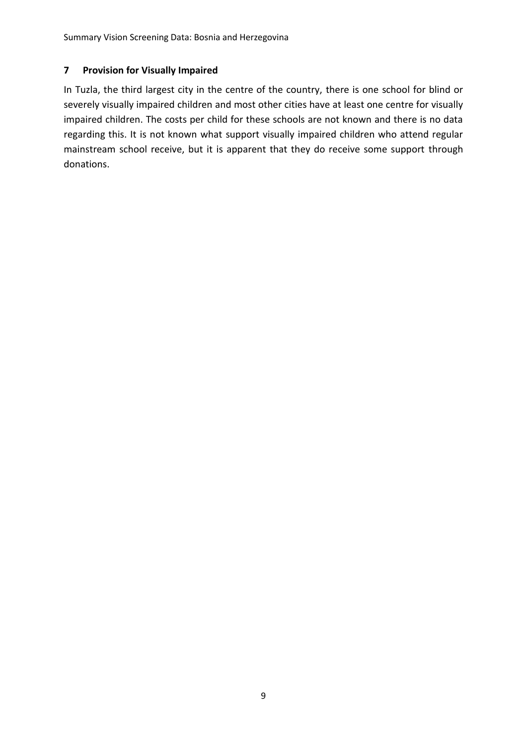#### <span id="page-14-0"></span>**7 Provision for Visually Impaired**

In Tuzla, the third largest city in the centre of the country, there is one school for blind or severely visually impaired children and most other cities have at least one centre for visually impaired children. The costs per child for these schools are not known and there is no data regarding this. It is not known what support visually impaired children who attend regular mainstream school receive, but it is apparent that they do receive some support through donations.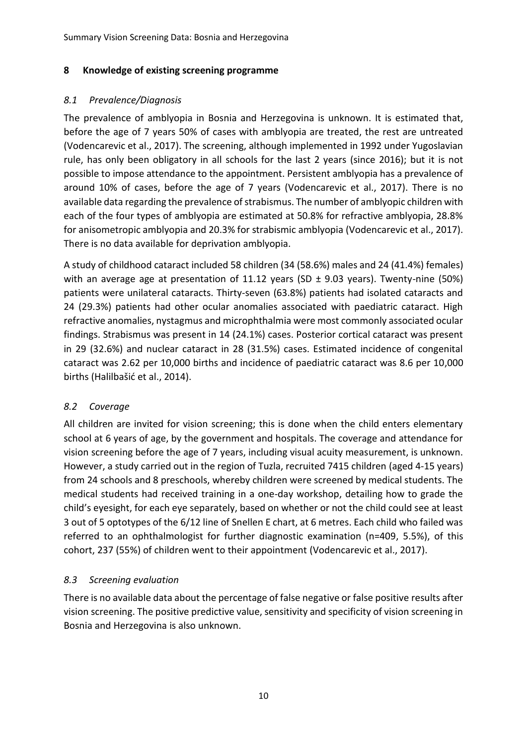#### <span id="page-15-0"></span>**8 Knowledge of existing screening programme**

#### <span id="page-15-1"></span>*8.1 Prevalence/Diagnosis*

The prevalence of amblyopia in Bosnia and Herzegovina is unknown. It is estimated that, before the age of 7 years 50% of cases with amblyopia are treated, the rest are untreated (Vodencarevic et al., 2017). The screening, although implemented in 1992 under Yugoslavian rule, has only been obligatory in all schools for the last 2 years (since 2016); but it is not possible to impose attendance to the appointment. Persistent amblyopia has a prevalence of around 10% of cases, before the age of 7 years (Vodencarevic et al., 2017). There is no available data regarding the prevalence of strabismus. The number of amblyopic children with each of the four types of amblyopia are estimated at 50.8% for refractive amblyopia, 28.8% for anisometropic amblyopia and 20.3% for strabismic amblyopia (Vodencarevic et al., 2017). There is no data available for deprivation amblyopia.

A study of childhood cataract included 58 children (34 (58.6%) males and 24 (41.4%) females) with an average age at presentation of 11.12 years (SD  $\pm$  9.03 years). Twenty-nine (50%) patients were unilateral cataracts. Thirty-seven (63.8%) patients had isolated cataracts and 24 (29.3%) patients had other ocular anomalies associated with paediatric cataract. High refractive anomalies, nystagmus and microphthalmia were most commonly associated ocular findings. Strabismus was present in 14 (24.1%) cases. Posterior cortical cataract was present in 29 (32.6%) and nuclear cataract in 28 (31.5%) cases. Estimated incidence of congenital cataract was 2.62 per 10,000 births and incidence of paediatric cataract was 8.6 per 10,000 births ([Halilbašić](https://www.ncbi.nlm.nih.gov/pubmed/?term=Halilba%C5%A1i%C4%87%20M%5BAuthor%5D&cauthor=true&cauthor_uid=24496353) et al., 2014).

## <span id="page-15-2"></span>*8.2 Coverage*

All children are invited for vision screening; this is done when the child enters elementary school at 6 years of age, by the government and hospitals. The coverage and attendance for vision screening before the age of 7 years, including visual acuity measurement, is unknown. However, a study carried out in the region of Tuzla, recruited 7415 children (aged 4-15 years) from 24 schools and 8 preschools, whereby children were screened by medical students. The medical students had received training in a one-day workshop, detailing how to grade the child's eyesight, for each eye separately, based on whether or not the child could see at least 3 out of 5 optotypes of the 6/12 line of Snellen E chart, at 6 metres. Each child who failed was referred to an ophthalmologist for further diagnostic examination (n=409, 5.5%), of this cohort, 237 (55%) of children went to their appointment (Vodencarevic et al., 2017).

## <span id="page-15-3"></span>*8.3 Screening evaluation*

There is no available data about the percentage of false negative or false positive results after vision screening. The positive predictive value, sensitivity and specificity of vision screening in Bosnia and Herzegovina is also unknown.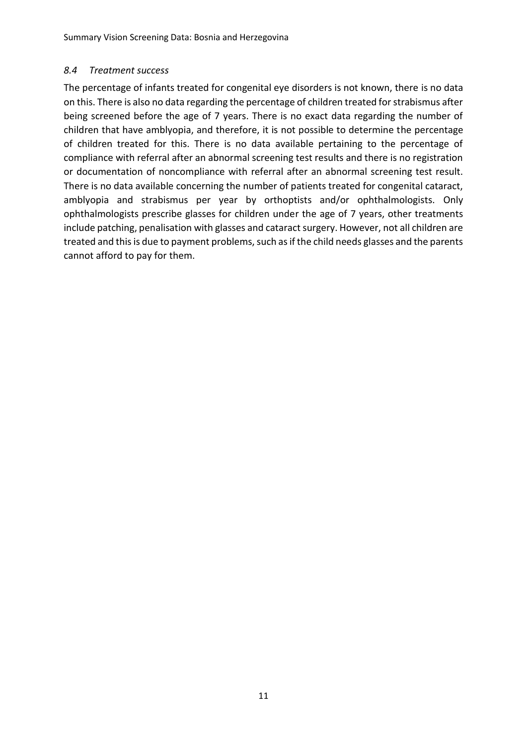#### <span id="page-16-0"></span>*8.4 Treatment success*

The percentage of infants treated for congenital eye disorders is not known, there is no data on this. There is also no data regarding the percentage of children treated for strabismus after being screened before the age of 7 years. There is no exact data regarding the number of children that have amblyopia, and therefore, it is not possible to determine the percentage of children treated for this. There is no data available pertaining to the percentage of compliance with referral after an abnormal screening test results and there is no registration or documentation of noncompliance with referral after an abnormal screening test result. There is no data available concerning the number of patients treated for congenital cataract, amblyopia and strabismus per year by orthoptists and/or ophthalmologists. Only ophthalmologists prescribe glasses for children under the age of 7 years, other treatments include patching, penalisation with glasses and cataract surgery. However, not all children are treated and this is due to payment problems, such as if the child needs glasses and the parents cannot afford to pay for them.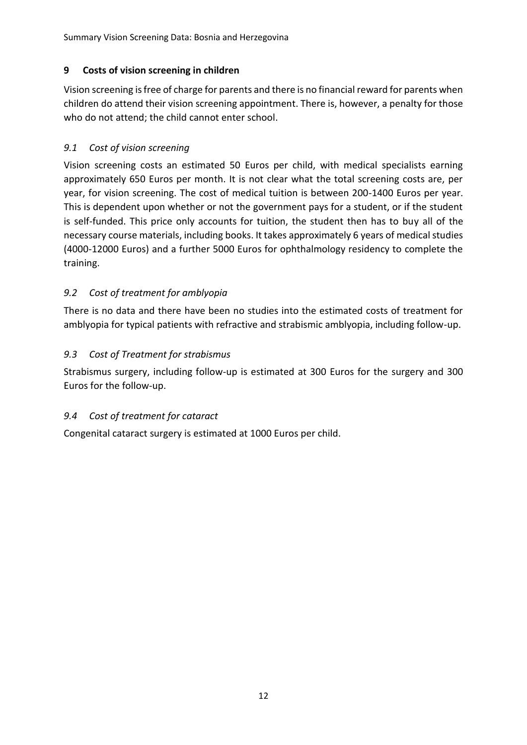## <span id="page-17-0"></span>**9 Costs of vision screening in children**

Vision screening is free of charge for parents and there is no financial reward for parents when children do attend their vision screening appointment. There is, however, a penalty for those who do not attend; the child cannot enter school.

#### <span id="page-17-1"></span>*9.1 Cost of vision screening*

Vision screening costs an estimated 50 Euros per child, with medical specialists earning approximately 650 Euros per month. It is not clear what the total screening costs are, per year, for vision screening. The cost of medical tuition is between 200-1400 Euros per year. This is dependent upon whether or not the government pays for a student, or if the student is self-funded. This price only accounts for tuition, the student then has to buy all of the necessary course materials, including books. It takes approximately 6 years of medical studies (4000-12000 Euros) and a further 5000 Euros for ophthalmology residency to complete the training.

#### <span id="page-17-2"></span>*9.2 Cost of treatment for amblyopia*

There is no data and there have been no studies into the estimated costs of treatment for amblyopia for typical patients with refractive and strabismic amblyopia, including follow-up.

#### <span id="page-17-3"></span>*9.3 Cost of Treatment for strabismus*

Strabismus surgery, including follow-up is estimated at 300 Euros for the surgery and 300 Euros for the follow-up.

## <span id="page-17-4"></span>*9.4 Cost of treatment for cataract*

Congenital cataract surgery is estimated at 1000 Euros per child.